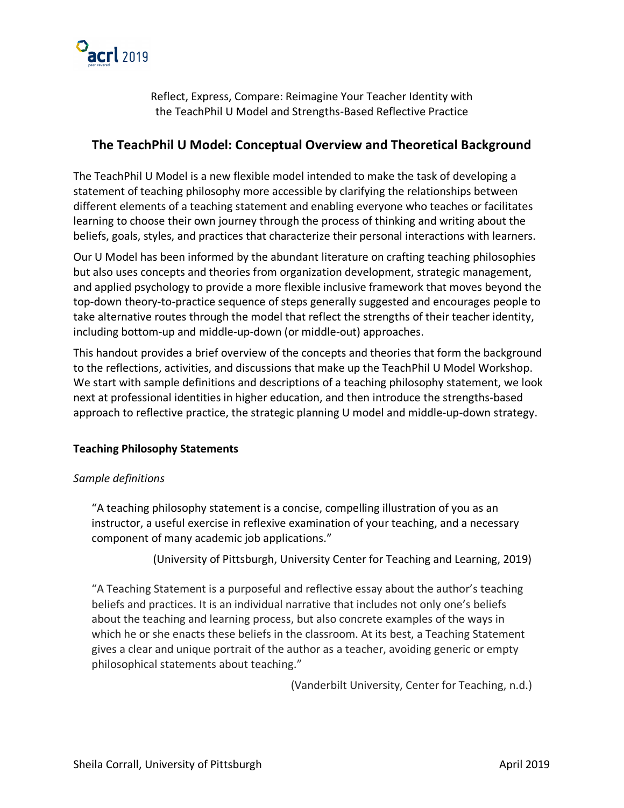

Reflect, Express, Compare: Reimagine Your Teacher Identity with the TeachPhil U Model and Strengths-Based Reflective Practice

# **The TeachPhil U Model: Conceptual Overview and Theoretical Background**

The TeachPhil U Model is a new flexible model intended to make the task of developing a statement of teaching philosophy more accessible by clarifying the relationships between different elements of a teaching statement and enabling everyone who teaches or facilitates learning to choose their own journey through the process of thinking and writing about the beliefs, goals, styles, and practices that characterize their personal interactions with learners.

Our U Model has been informed by the abundant literature on crafting teaching philosophies but also uses concepts and theories from organization development, strategic management, and applied psychology to provide a more flexible inclusive framework that moves beyond the top-down theory-to-practice sequence of steps generally suggested and encourages people to take alternative routes through the model that reflect the strengths of their teacher identity, including bottom-up and middle-up-down (or middle-out) approaches.

This handout provides a brief overview of the concepts and theories that form the background to the reflections, activities, and discussions that make up the TeachPhil U Model Workshop. We start with sample definitions and descriptions of a teaching philosophy statement, we look next at professional identities in higher education, and then introduce the strengths-based approach to reflective practice, the strategic planning U model and middle-up-down strategy.

#### **Teaching Philosophy Statements**

#### *Sample definitions*

"A teaching philosophy statement is a concise, compelling illustration of you as an instructor, a useful exercise in reflexive examination of your teaching, and a necessary component of many academic job applications."

(University of Pittsburgh, University Center for Teaching and Learning, 2019)

"A Teaching Statement is a purposeful and reflective essay about the author's teaching beliefs and practices. It is an individual narrative that includes not only one's beliefs about the teaching and learning process, but also concrete examples of the ways in which he or she enacts these beliefs in the classroom. At its best, a Teaching Statement gives a clear and unique portrait of the author as a teacher, avoiding generic or empty philosophical statements about teaching."

(Vanderbilt University, Center for Teaching, n.d.)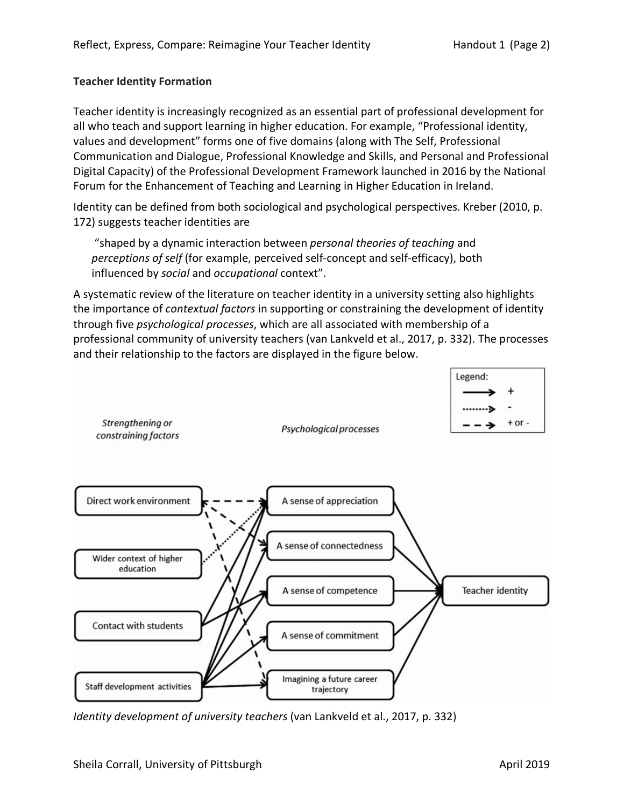# **Teacher Identity Formation**

Teacher identity is increasingly recognized as an essential part of professional development for all who teach and support learning in higher education. For example, "Professional identity, values and development" forms one of five domains (along with The Self, Professional Communication and Dialogue, Professional Knowledge and Skills, and Personal and Professional Digital Capacity) of the Professional Development Framework launched in 2016 by the National Forum for the Enhancement of Teaching and Learning in Higher Education in Ireland.

Identity can be defined from both sociological and psychological perspectives. Kreber (2010, p. 172) suggests teacher identities are

"shaped by a dynamic interaction between *personal theories of teaching* and *perceptions of self* (for example, perceived self-concept and self-efficacy), both influenced by *social* and *occupational* context".

A systematic review of the literature on teacher identity in a university setting also highlights the importance of *contextual factors* in supporting or constraining the development of identity through five *psychological processes*, which are all associated with membership of a professional community of university teachers (van Lankveld et al., 2017, p. 332). The processes and their relationship to the factors are displayed in the figure below.



*Identity development of university teachers* (van Lankveld et al., 2017, p. 332)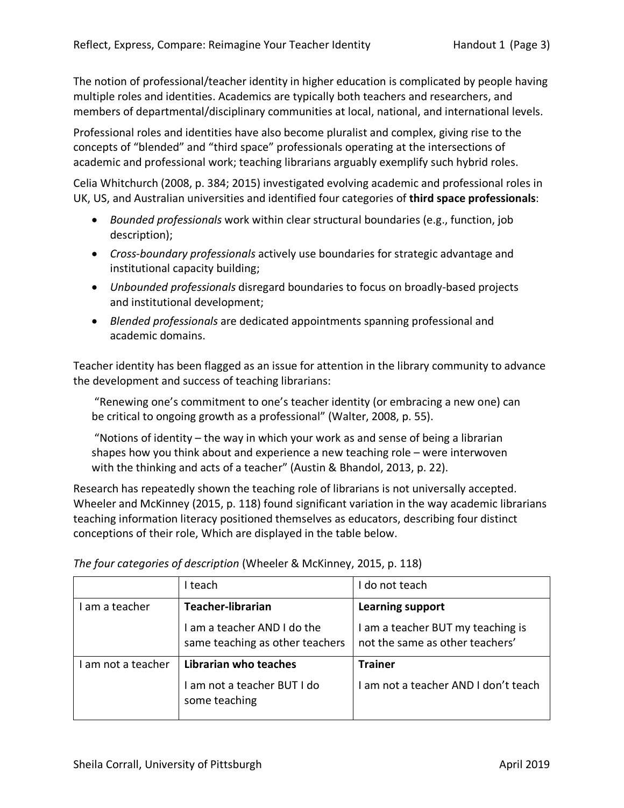The notion of professional/teacher identity in higher education is complicated by people having multiple roles and identities. Academics are typically both teachers and researchers, and members of departmental/disciplinary communities at local, national, and international levels.

Professional roles and identities have also become pluralist and complex, giving rise to the concepts of "blended" and "third space" professionals operating at the intersections of academic and professional work; teaching librarians arguably exemplify such hybrid roles.

Celia Whitchurch (2008, p. 384; 2015) investigated evolving academic and professional roles in UK, US, and Australian universities and identified four categories of **third space professionals**:

- *Bounded professionals* work within clear structural boundaries (e.g., function, job description);
- *Cross-boundary professionals* actively use boundaries for strategic advantage and institutional capacity building;
- *Unbounded professionals* disregard boundaries to focus on broadly-based projects and institutional development;
- *Blended professionals* are dedicated appointments spanning professional and academic domains.

Teacher identity has been flagged as an issue for attention in the library community to advance the development and success of teaching librarians:

"Renewing one's commitment to one's teacher identity (or embracing a new one) can be critical to ongoing growth as a professional" (Walter, 2008, p. 55).

"Notions of identity – the way in which your work as and sense of being a librarian shapes how you think about and experience a new teaching role – were interwoven with the thinking and acts of a teacher" (Austin & Bhandol, 2013, p. 22).

Research has repeatedly shown the teaching role of librarians is not universally accepted. Wheeler and McKinney (2015, p. 118) found significant variation in the way academic librarians teaching information literacy positioned themselves as educators, describing four distinct conceptions of their role, Which are displayed in the table below.

|                  | I teach                                                        | I do not teach                                                       |
|------------------|----------------------------------------------------------------|----------------------------------------------------------------------|
| am a teacher     | Teacher-librarian                                              | Learning support                                                     |
|                  | I am a teacher AND I do the<br>same teaching as other teachers | I am a teacher BUT my teaching is<br>not the same as other teachers' |
| am not a teacher | Librarian who teaches                                          | <b>Trainer</b>                                                       |
|                  | I am not a teacher BUT I do<br>some teaching                   | I am not a teacher AND I don't teach                                 |

*The four categories of description* (Wheeler & McKinney, 2015, p. 118)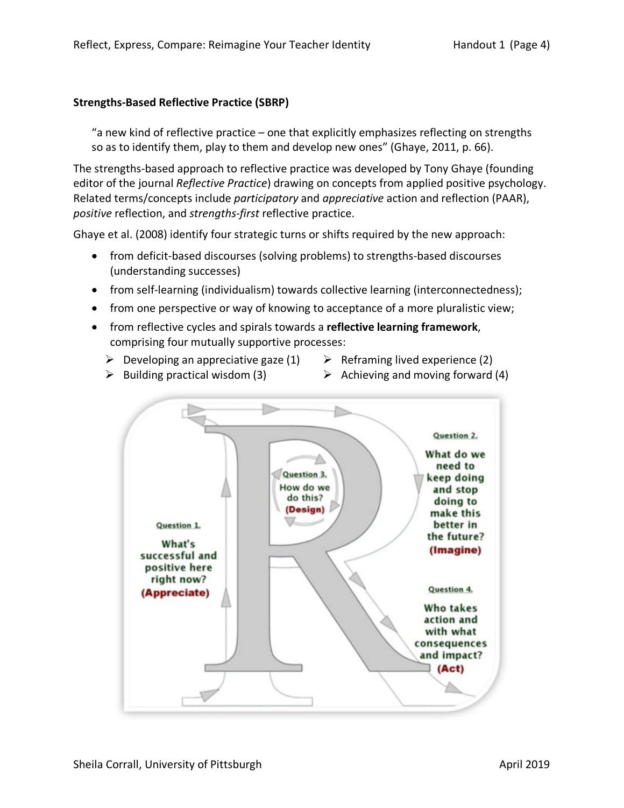### **Strengths-Based Reflective Practice (SBRP)**

"a new kind of reflective practice – one that explicitly emphasizes reflecting on strengths so as to identify them, play to them and develop new ones" (Ghaye, 2011, p. 66).

The strengths-based approach to reflective practice was developed by Tony Ghaye (founding editor of the journal *Reflective Practice*) drawing on concepts from applied positive psychology. Related terms/concepts include *participatory* and *appreciative* action and reflection (PAAR), *positive* reflection, and *strengths-first* reflective practice.

Ghaye et al. (2008) identify four strategic turns or shifts required by the new approach:

- from deficit-based discourses (solving problems) to strengths-based discourses (understanding successes)
- from self-learning (individualism) towards collective learning (interconnectedness);
- from one perspective or way of knowing to acceptance of a more pluralistic view;
- from reflective cycles and spirals towards a **reflective learning framework**, comprising four mutually supportive processes:
	- $\triangleright$  Developing an appreciative gaze (1)
- $\triangleright$  Reframing lived experience (2)
- $\triangleright$  Building practical wisdom (3)
- $\triangleright$  Achieving and moving forward (4)

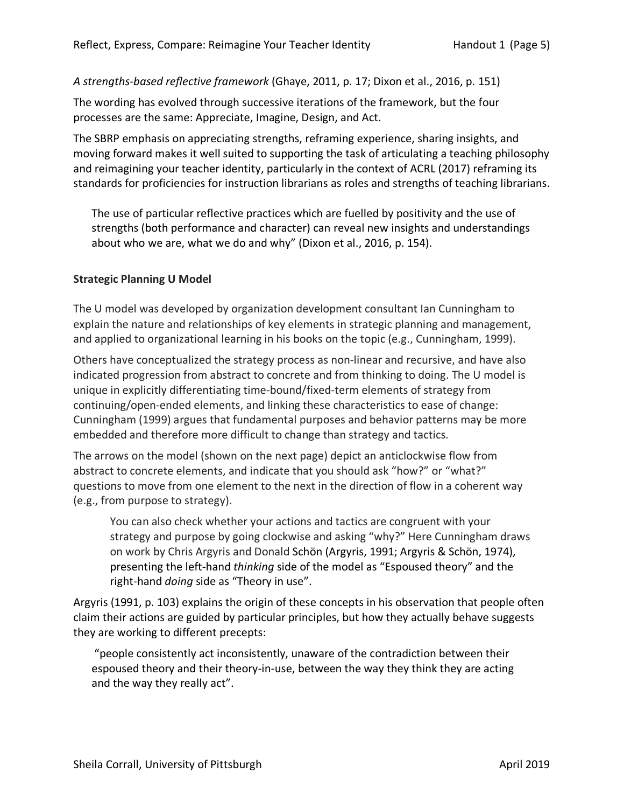*A strengths-based reflective framework* (Ghaye, 2011, p. 17; Dixon et al., 2016, p. 151)

The wording has evolved through successive iterations of the framework, but the four processes are the same: Appreciate, Imagine, Design, and Act.

The SBRP emphasis on appreciating strengths, reframing experience, sharing insights, and moving forward makes it well suited to supporting the task of articulating a teaching philosophy and reimagining your teacher identity, particularly in the context of ACRL (2017) reframing its standards for proficiencies for instruction librarians as roles and strengths of teaching librarians.

The use of particular reflective practices which are fuelled by positivity and the use of strengths (both performance and character) can reveal new insights and understandings about who we are, what we do and why" (Dixon et al., 2016, p. 154).

### **Strategic Planning U Model**

The U model was developed by organization development consultant Ian Cunningham to explain the nature and relationships of key elements in strategic planning and management, and applied to organizational learning in his books on the topic (e.g., Cunningham, 1999).

Others have conceptualized the strategy process as non-linear and recursive, and have also indicated progression from abstract to concrete and from thinking to doing. The U model is unique in explicitly differentiating time-bound/fixed-term elements of strategy from continuing/open-ended elements, and linking these characteristics to ease of change: Cunningham (1999) argues that fundamental purposes and behavior patterns may be more embedded and therefore more difficult to change than strategy and tactics.

The arrows on the model (shown on the next page) depict an anticlockwise flow from abstract to concrete elements, and indicate that you should ask "how?" or "what?" questions to move from one element to the next in the direction of flow in a coherent way (e.g., from purpose to strategy).

You can also check whether your actions and tactics are congruent with your strategy and purpose by going clockwise and asking "why?" Here Cunningham draws on work by Chris Argyris and Donald Schön (Argyris, 1991; Argyris & Schön, 1974), presenting the left-hand *thinking* side of the model as "Espoused theory" and the right-hand *doing* side as "Theory in use".

Argyris (1991, p. 103) explains the origin of these concepts in his observation that people often claim their actions are guided by particular principles, but how they actually behave suggests they are working to different precepts:

"people consistently act inconsistently, unaware of the contradiction between their espoused theory and their theory-in-use, between the way they think they are acting and the way they really act".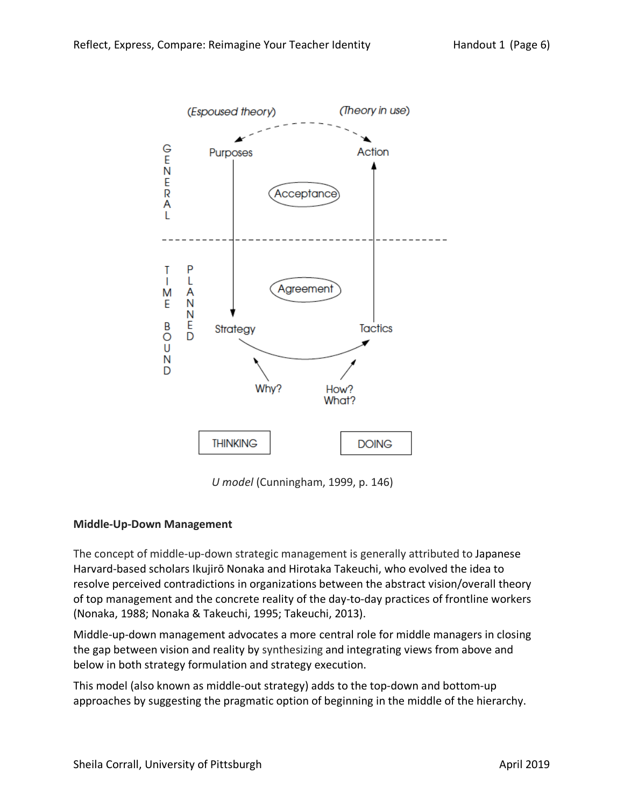

*U model* (Cunningham, 1999, p. 146)

## **Middle-Up-Down Management**

The concept of middle-up-down strategic management is generally attributed to Japanese Harvard-based scholars Ikujirō Nonaka and Hirotaka Takeuchi, who evolved the idea to resolve perceived contradictions in organizations between the abstract vision/overall theory of top management and the concrete reality of the day-to-day practices of frontline workers (Nonaka, 1988; Nonaka & Takeuchi, 1995; Takeuchi, 2013).

Middle-up-down management advocates a more central role for middle managers in closing the gap between vision and reality by synthesizing and integrating views from above and below in both strategy formulation and strategy execution.

This model (also known as middle-out strategy) adds to the top-down and bottom-up approaches by suggesting the pragmatic option of beginning in the middle of the hierarchy.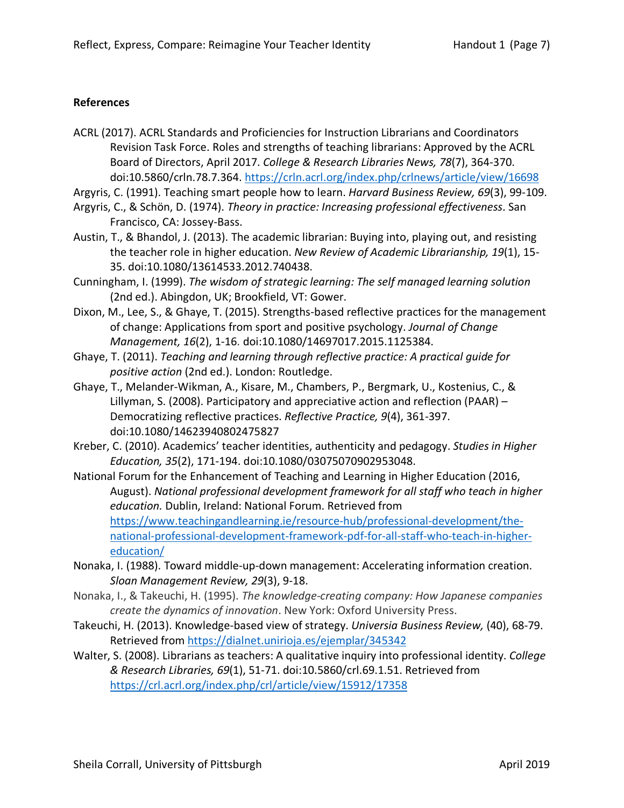### **References**

ACRL (2017). ACRL Standards and Proficiencies for Instruction Librarians and Coordinators Revision Task Force. Roles and strengths of teaching librarians: Approved by the ACRL Board of Directors, April 2017. *College & Research Libraries News, 78*(7), 364-370. doi:10.5860/crln.78.7.364. https://crln.acrl.org/index.php/crlnews/article/view/16698

Argyris, C. (1991). Teaching smart people how to learn. *Harvard Business Review, 69*(3), 99-109.

- Argyris, C., & Schön, D. (1974). *Theory in practice: Increasing professional effectiveness*. San Francisco, CA: Jossey-Bass.
- Austin, T., & Bhandol, J. (2013). The academic librarian: Buying into, playing out, and resisting the teacher role in higher education. *New Review of Academic Librarianship, 19*(1), 15- 35. doi:10.1080/13614533.2012.740438.
- Cunningham, I. (1999). *The wisdom of strategic learning: The self managed learning solution*  (2nd ed.). Abingdon, UK; Brookfield, VT: Gower.
- Dixon, M., Lee, S., & Ghaye, T. (2015). Strengths-based reflective practices for the management of change: Applications from sport and positive psychology. *Journal of Change Management, 16*(2), 1-16. doi:10.1080/14697017.2015.1125384.
- Ghaye, T. (2011). *Teaching and learning through reflective practice: A practical guide for positive action* (2nd ed.). London: Routledge.
- Ghaye, T., Melander-Wikman, A., Kisare, M., Chambers, P., Bergmark, U., Kostenius, C., & Lillyman, S. (2008). Participatory and appreciative action and reflection (PAAR) – Democratizing reflective practices. *Reflective Practice, 9*(4), 361-397. doi:10.1080/14623940802475827
- Kreber, C. (2010). Academics' teacher identities, authenticity and pedagogy. *Studies in Higher Education, 35*(2), 171-194. doi:10.1080/03075070902953048.
- National Forum for the Enhancement of Teaching and Learning in Higher Education (2016, August). *National professional development framework for all staff who teach in higher education.* Dublin, Ireland: National Forum. Retrieved from https://www.teachingandlearning.ie/resource-hub/professional-development/thenational-professional-development-framework-pdf-for-all-staff-who-teach-in-highereducation/
- Nonaka, I. (1988). Toward middle-up-down management: Accelerating information creation. *Sloan Management Review, 29*(3), 9-18.
- Nonaka, I., & Takeuchi, H. (1995). *The knowledge-creating company: How Japanese companies create the dynamics of innovation*. New York: Oxford University Press.
- Takeuchi, H. (2013). Knowledge-based view of strategy. *Universia Business Review,* (40), 68-79. Retrieved from https://dialnet.unirioja.es/ejemplar/345342
- Walter, S. (2008). Librarians as teachers: A qualitative inquiry into professional identity. *College & Research Libraries, 69*(1), 51-71. doi:10.5860/crl.69.1.51. Retrieved from https://crl.acrl.org/index.php/crl/article/view/15912/17358